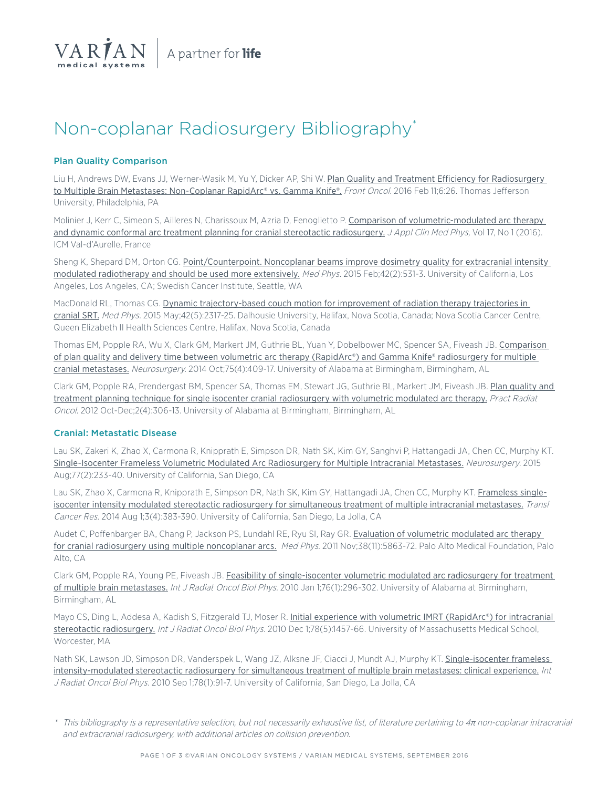

# Non-coplanar Radiosurgery Bibliography\*

## Plan Quality Comparison

Liu H, Andrews DW, Evans JJ, Werner-Wasik M, Yu Y, Dicker AP, Shi W. Plan Quality and Treatment Efficiency for Radiosurgery [to Multiple Brain Metastases: Non-Coplanar RapidArc® vs. Gamma Knife®.](http://www.ncbi.nlm.nih.gov/pubmed/26904504) Front Oncol. 2016 Feb 11;6:26. Thomas Jefferson University, Philadelphia, PA

Molinier J, Kerr C, Simeon S, Ailleres N, Charissoux M, Azria D, Fenoglietto P. Comparison of volumetric-modulated arc therapy [and dynamic conformal arc treatment planning for cranial stereotactic radiosurgery.](http://www.jacmp.org/index.php/jacmp/article/view/5677) J Appl Clin Med Phys, Vol 17, No 1 (2016). ICM Val-d'Aurelle, France

Sheng K, Shepard DM, Orton CG. Point/Counterpoint. Noncoplanar beams improve dosimetry quality for extracranial intensity [modulated radiotherapy and should be used more extensively.](http://www.ncbi.nlm.nih.gov/pubmed/25652473) Med Phys. 2015 Feb;42(2):531-3. University of California, Los Angeles, Los Angeles, CA; Swedish Cancer Institute, Seattle, WA

MacDonald RL, Thomas CG. Dynamic trajectory-based couch motion for improvement of radiation therapy trajectories in [cranial SRT.](http://www.ncbi.nlm.nih.gov/pubmed/25979026) Med Phys. 2015 May;42(5):2317-25. Dalhousie University, Halifax, Nova Scotia, Canada; Nova Scotia Cancer Centre, Queen Elizabeth II Health Sciences Centre, Halifax, Nova Scotia, Canada

Thomas EM, Popple RA, Wu X, Clark GM, Markert JM, Guthrie BL, Yuan Y, Dobelbower MC, Spencer SA, Fiveash JB. Comparison [of plan quality and delivery time between volumetric arc therapy \(RapidArc®\) and Gamma Knife® radiosurgery for multiple](http://www.ncbi.nlm.nih.gov/pubmed/24871143)  [cranial metastases.](http://www.ncbi.nlm.nih.gov/pubmed/24871143) Neurosurgery. 2014 Oct;75(4):409-17. University of Alabama at Birmingham, Birmingham, AL

Clark GM, Popple RA, Prendergast BM, Spencer SA, Thomas EM, Stewart JG, Guthrie BL, Markert JM, Fiveash JB. Plan quality and [treatment planning technique for single isocenter cranial radiosurgery with volumetric modulated arc therapy.](http://www.ncbi.nlm.nih.gov/pubmed/24674169) Pract Radiat Oncol. 2012 Oct-Dec;2(4):306-13. University of Alabama at Birmingham, Birmingham, AL

## Cranial: Metastatic Disease

Lau SK, Zakeri K, Zhao X, Carmona R, Knipprath E, Simpson DR, Nath SK, Kim GY, Sanghvi P, Hattangadi JA, Chen CC, Murphy KT. [Single-Isocenter Frameless Volumetric Modulated Arc Radiosurgery for Multiple Intracranial Metastases.](http://www.ncbi.nlm.nih.gov/pubmed/25856109) Neurosurgery. 2015 Aug;77(2):233-40. University of California, San Diego, CA

Lau SK, Zhao X, Carmona R, Knipprath E, Simpson DR, Nath SK, Kim GY, Hattangadi JA, Chen CC, Murphy KT. [Frameless single](http://www.ncbi.nlm.nih.gov/pubmed/25821723)[isocenter intensity modulated stereotactic radiosurgery for simultaneous treatment of multiple intracranial metastases.](http://www.ncbi.nlm.nih.gov/pubmed/25821723) Transl Cancer Res. 2014 Aug 1;3(4):383-390. University of California, San Diego, La Jolla, CA

Audet C, Poffenbarger BA, Chang P, Jackson PS, Lundahl RE, Ryu SI, Ray GR. Evaluation of volumetric modulated arc therapy [for cranial radiosurgery using multiple noncoplanar arcs.](http://www.ncbi.nlm.nih.gov/pubmed/22047350) Med Phys. 2011 Nov;38(11):5863-72. Palo Alto Medical Foundation, Palo Alto, CA

Clark GM, Popple RA, Young PE, Fiveash JB. Feasibility of single-isocenter volumetric modulated arc radiosurgery for treatment [of multiple brain metastases.](http://www.ncbi.nlm.nih.gov/pubmed/19836151) Int J Radiat Oncol Biol Phys. 2010 Jan 1;76(1):296-302. University of Alabama at Birmingham, Birmingham, AL

Mayo CS, Ding L, Addesa A, Kadish S, Fitzgerald TJ, Moser R. [Initial experience with volumetric IMRT \(RapidArc®\) for intracranial](http://www.ncbi.nlm.nih.gov/pubmed/20207494)  [stereotactic radiosurgery.](http://www.ncbi.nlm.nih.gov/pubmed/20207494) Int J Radiat Oncol Biol Phys. 2010 Dec 1;78(5):1457-66. University of Massachusetts Medical School, Worcester, MA

Nath SK, Lawson JD, Simpson DR, Vanderspek L, Wang JZ, Alksne JF, Ciacci J, Mundt AJ, Murphy KT. [Single-isocenter frameless](http://www.ncbi.nlm.nih.gov/pubmed/20096509)  [intensity-modulated stereotactic radiosurgery for simultaneous treatment of multiple brain metastases: clinical experience.](http://www.ncbi.nlm.nih.gov/pubmed/20096509) Int J Radiat Oncol Biol Phys. 2010 Sep 1;78(1):91-7. University of California, San Diego, La Jolla, CA

\* This bibliography is a representative selection, but not necessarily exhaustive list, of literature pertaining to 4π non-coplanar intracranial and extracranial radiosurgery, with additional articles on collision prevention.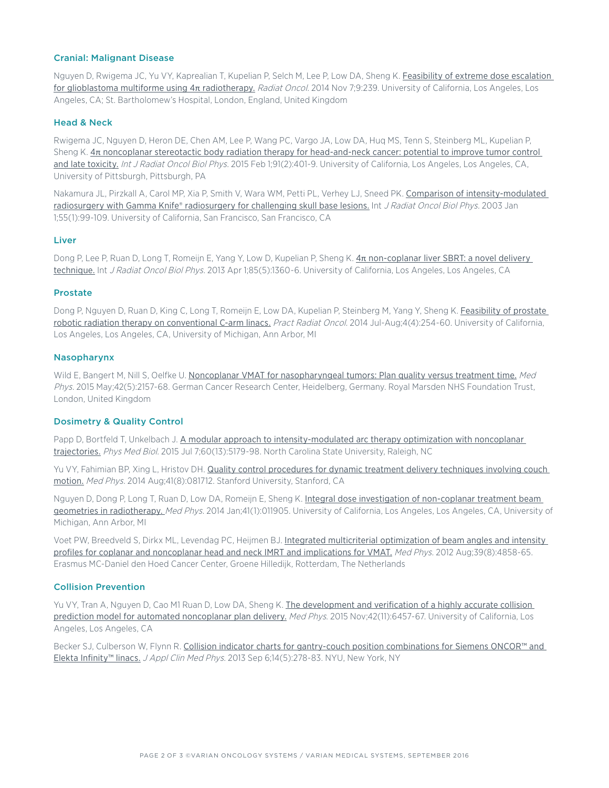## Cranial: Malignant Disease

Nguyen D, Rwigema JC, Yu VY, Kaprealian T, Kupelian P, Selch M, Lee P, Low DA, Sheng K. [Feasibility of extreme dose escalation](http://www.ncbi.nlm.nih.gov/pubmed/25377756)  [for glioblastoma multiforme using 4](http://www.ncbi.nlm.nih.gov/pubmed/25377756)π radiotherapy. Radiat Oncol. 2014 Nov 7;9:239. University of California, Los Angeles, Los Angeles, CA; St. Bartholomew's Hospital, London, England, United Kingdom

## Head & Neck

Rwigema JC, Nguyen D, Heron DE, Chen AM, Lee P, Wang PC, Vargo JA, Low DA, Huq MS, Tenn S, Steinberg ML, Kupelian P, Sheng K. 4π [noncoplanar stereotactic body radiation therapy for head-and-neck cancer: potential to improve tumor control](http://www.ncbi.nlm.nih.gov/pubmed/25482301)  [and late toxicity.](http://www.ncbi.nlm.nih.gov/pubmed/25482301) Int J Radiat Oncol Biol Phys. 2015 Feb 1;91(2):401-9. University of California, Los Angeles, Los Angeles, CA, University of Pittsburgh, Pittsburgh, PA

Nakamura JL, Pirzkall A, Carol MP, Xia P, Smith V, Wara WM, Petti PL, Verhey LJ, Sneed PK. [Comparison of intensity-modulated](http://www.ncbi.nlm.nih.gov/pubmed/12504041)  [radiosurgery with Gamma Knife® radiosurgery for challenging skull base lesions.](http://www.ncbi.nlm.nih.gov/pubmed/12504041) Int J Radiat Oncol Biol Phys. 2003 Jan 1;55(1):99-109. University of California, San Francisco, San Francisco, CA

## Liver

Dong P, Lee P, Ruan D, Long T, Romeijn E, Yang Y, Low D, Kupelian P, Sheng K. 4π non-coplanar liver SBRT: a novel delivery [technique.](http://www.ncbi.nlm.nih.gov/pubmed/23154076) Int *J Radiat Oncol Biol Phys.* 2013 Apr 1;85(5):1360-6. University of California, Los Angeles, Los Angeles, CA

## Prostate

Dong P, Nguyen D, Ruan D, King C, Long T, Romeijn E, Low DA, Kupelian P, Steinberg M, Yang Y, Sheng K. Feasibility of prostate [robotic radiation therapy on conventional C-arm linacs.](http://www.ncbi.nlm.nih.gov/pubmed/25012834) Pract Radiat Oncol. 2014 Jul-Aug;4(4):254-60. University of California, Los Angeles, Los Angeles, CA, University of Michigan, Ann Arbor, MI

#### Nasopharynx

Wild E, Bangert M, Nill S, Oelfke U. [Noncoplanar VMAT for nasopharyngeal tumors: Plan quality versus treatment time.](http://www.ncbi.nlm.nih.gov/pubmed/25979010) Med Phys. 2015 May;42(5):2157-68. German Cancer Research Center, Heidelberg, Germany. Royal Marsden NHS Foundation Trust, London, United Kingdom

## Dosimetry & Quality Control

Papp D, Bortfeld T, Unkelbach J. [A modular approach to intensity-modulated arc therapy optimization with noncoplanar](http://www.ncbi.nlm.nih.gov/pubmed/26083759)  [trajectories.](http://www.ncbi.nlm.nih.gov/pubmed/26083759) Phys Med Biol. 2015 Jul 7;60(13):5179-98. North Carolina State University, Raleigh, NC

Yu VY, Fahimian BP, Xing L, Hristov DH. Quality control procedures for dynamic treatment delivery techniques involving couch [motion.](http://www.ncbi.nlm.nih.gov/pubmed/25086522) Med Phys. 2014 Aug;41(8):081712. Stanford University, Stanford, CA

Nguyen D, Dong P, Long T, Ruan D, Low DA, Romeijn E, Sheng K. Integral dose investigation of non-coplanar treatment beam [geometries in radiotherapy.](http://www.ncbi.nlm.nih.gov/pubmed/24387513) Med Phys. 2014 Jan;41(1):011905. University of California, Los Angeles, Los Angeles, CA, University of Michigan, Ann Arbor, MI

Voet PW, Breedveld S, Dirkx ML, Levendag PC, Heijmen BJ. [Integrated multicriterial optimization of beam angles and intensity](http://www.ncbi.nlm.nih.gov/pubmed/22894412)  [profiles for coplanar and noncoplanar head and neck IMRT and implications for VMAT.](http://www.ncbi.nlm.nih.gov/pubmed/22894412) Med Phys. 2012 Aug;39(8):4858-65. Erasmus MC-Daniel den Hoed Cancer Center, Groene Hilledijk, Rotterdam, The Netherlands

## Collision Prevention

Yu VY, Tran A, Nguyen D, Cao M1 Ruan D, Low DA, Sheng K. The development and verification of a highly accurate collision [prediction model for automated noncoplanar plan delivery.](http://www.ncbi.nlm.nih.gov/pubmed/26520735) Med Phys. 2015 Nov;42(11):6457-67. University of California, Los Angeles, Los Angeles, CA

Becker SJ, Culberson W, Flynn R. [Collision indicator charts for gantry-couch position combinations for Siemens ONCOR™ and](http://www.ncbi.nlm.nih.gov/pubmed/24036873)  [Elekta Infinity™ linacs.](http://www.ncbi.nlm.nih.gov/pubmed/24036873) J Appl Clin Med Phys. 2013 Sep 6;14(5):278-83. NYU, New York, NY